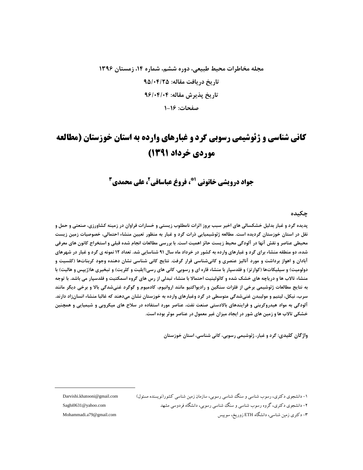# مجله مخاطرات محیط طبیعی، دوره ششم، شماره ۱۴، زمستان ۱۳۹۶ تاریخ در یافت مقاله: ۹۵/۰۴/۲۵ تاريخ پذيرش مقاله: ٩۶/٠۴/٠۴ صفحات: ۱۶-۱

# **کانی شناسی و ژئوشیمی رسوبی گرد و غبارهای وارده به استان خوزستان (مطالعه** موردي خرداد 1391)

## جواد درويشي خاتوني '"، فروغ عباساقي'، على محمدي"

#### چکىدە

پدیده گرد و غبار بدلیل خشکسالی های اخیر سبب بروز اثرات نامطلوب زیستی و خسارات فراوان در زمینه کشاورزی، صنعتی و حمل و نقل در استان خوزستان گردیده است. مطالعه ژئوشیمیایی ذرات گرد و غبار به منظور تعیین منشاء احتمالی، خصوصیات زمین زیست محیطی عناصر و نقش آنها در آلودگی محیط زیست حائز اهمیت است. با بررسی مطالعات انجام شده قبلی و استخراج کانون های معرفی شده، دو منطقه منشاء برای گرد و غبارهای وارده به کشور در خرداد ماه سال ۹۱ شناسایی شد. تعداد ۱۲ نمونه ی گرد و غبار در شهرهای آبادان و اهواز برداشت و مورد آنالیز عنصری و کانیشناسی قرار گرفت. نتایج کانی شناسی نشان دهنده وجود کربناتها (کلسیت و دولومیت) و سیلیکاتها (کوارتز) و فلدسپار با منشاء قاره ای و رسوبی، کانی های رسی(ایلیت و کلریت) و تبخیری ها(ژیپس و هالیت) با منشاء تالاب ها و دریاچه های خشک شده و کائولینیت احتمالا با منشاء تبدلی از رس های گروه اسمکتیت و فلدسپار می باشد. با توجه به نتايج مطالعات ژئوشيمي برخي از فلزات سنگين و راديواكتيو مانند اروانيوم، كادميوم و گوگرد غنيشدگي بالا و برخي ديگر مانند سرب، نیکل، لیتیم و مولیبدن غنیشدگی متوسطی در گرد وغبارهای وارده به خوزستان نشان میدهند که غالبا منشاء انسانزاد دارند. آلودگی به مواد هیدروکربنی و فرایندهای بالادستی صنعت نفت، عناصر مورد استفاده در سلاح های میکروبی و شیمیایی و همچنین خشکی تالاب ها و زمین های شور در ایجاد میزان غیر معمول در عناصر موثر بوده است.

واژگان کلیدی: گرد و غبار، ژئوشیمی رسوبی، کانی شناسی، استان خوزستان

Darvishi.khatooni@gmail.com Saghi0631@yahoo.com Mohammadi.a79@gmail.com

۱– دانشجوی دکتری، رسوب شناسی و سنگ شناسی رسوبی، سازمان زمین شناسی کشور(نویسنده مسئول) ۲- دانشجوی دکتری، گروه رسوب شناسی و سنگ شناسی رسوپی، دانشگاه فردوسی مشهد ۳- دکتری زمین شناسی، دانشگاه ETH زوریخ، سوییس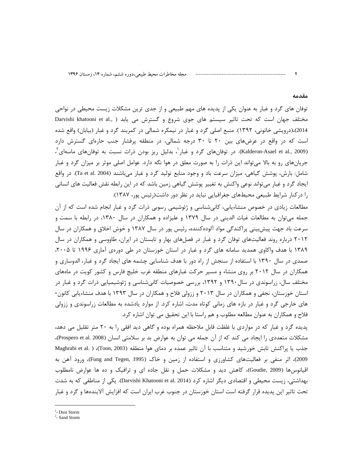#### مقدمه

توفان های گرد و غبار به عنوان یکی از پدیده های مهم طبیعی و از جدی ترین مشکلات زیست محیطی در نواحی مختلف جهان است که تحت تاثیر سیستم های جوی شروع و گسترش می یابد ( ,Darvishi khatooni et al 2014)،(درویشی خاتونی، ۱۳۹۲). منبع اصلی گرد و غبار در نیمکره شمالی در کمربند گرد و غبار (بیابان) واقع شده است که در واقع در عرضهای بین ۲۰ تا ۳۰ درجه شمالی، در منطقه پرفشار جنب حارهای گسترش دارد (Kalderon-Asael et al., 2009). در توفانهای گرد و غبار ، بدلیل ریز بودن ذرات نسبت به توفانهای ماسهای ، جریانهای رو به بالا میتواند این ذرات را به صورت معلق در هوا نگه دارد. عوامل اصلی موثر بر میزان گرد و غبار شامل: بارش، پوشش گياهي، ميزان سرعت باد و وجود منابع توليد گرد و غبار مي،اشند (Ta et al. 2004). در واقع ایجاد گرد و غبار میتواند نوعی واکنش به تغییر پوشش گیاهی زمین باشد که در این رابطه نقش فعالیت های انسانی را در کنار شرایط طبیعی محیطهای جغرافیایی نباید در نظر دور داشت(رئیس پور، ۱۳۸۷).

مطالعات زیادی در خصوص منشاءیابی، کانیشناسی و ژئوشیمی رسوبی ذرات گرد و غبار انجام شده است که از آن جمله می توان به مطالعات غیاث الدینی در سال ۱۳۷۹ و علیزاده و همکاران در سال ۱۳۸۰، در رابطه با سمت و سرعت باد جهت پیش بینی پراکندگی مواد آلودهکننده، رئیس پور در سال ۱۳۸۷ و خوش اخلاق و همکاران در سال ۲۰۱۲ درباره روند فعالیتهای توفان گرد و غبار در فصلهای بهار و تابستان در ایران، طاووسی و همکاران در سال ۱۳۸۹ با هدف واکاوی همدید سامانه های گرد و غبار در استان خوزستان در طی دورهی آماری ۱۹۹۶ تا ۲۰۰۵، صمدی در سال ۱۳۹۰ با استفاده از سنجش از راه دور با هدف شناسایی چشمه های ایجاد گرد و غبار، الدوساری و همکاران در سال ۲۰۱۲ بر روی منشاء و مسیر حرکت غبارهای منطقه غرب خلیج فارس و کشور کویت در ماههای مختلف سال، زراسوندی در سال ۱۳۹۰ و ۱۳۹۲، بررسی خصوصیات کانیشناسی و ژئوشیمیایی ذرات گرد و غبار در استان خوزستان، نجفی و همکاران در سال ۲۰۱۳ و ززولی فلاح و همکاران در سال ۱۳۹۳ با هدف منشاءیابی کانون-های خارجی گرد و غبار در بازه های زمانی کوتاه مدت، اشاره کرد. از موارد یادشده به مطالعات زراسوندی و ززولی فلاح و همکاران به عنوان مطالعه مطلوب و هم راستا با این تحقیق می توان اشاره کرد.

پدیده گرد و غبار که در مواردی با غلظت قابل ملاحظه همراه بوده و گاهی دید افقی را به ۲۰ متر تقلیل می دهد، مشکلات متعددی را ایجاد می کند که از آن جمله می توان به عوارض بد بر سلامتی انسان (Prospero et al. 2008)، جذب یا پراکنش تابش خورشید و متناسب با آن تاثیر عمده بر دمای هوا منطقه (Toon, 2003)، ( .Maghrabi et al 2009)، اثر منفی بر فعالیتهای کشاورزی و استفاده از زمین و خاک (Fung and Tegen, 1995)، ورود آهن به اقیانوسها (Goudie, 2009)، کاهش دید و مشکلات حمل و نقل جاده ای و ترافیک و ده ها عوارض نامطلوب بهداشتی، زیست محیطی و اقتصادی دیگر اشاره کرد (Darvishi Khatooni et al. 2014). یکی از مناطقی که به شدت تحت تاثیر این پدیده قرار گرفته است استان خوزستان در جنوب غرب ایران است که افزایش آلایندهها و گرد و غبار

<sup>&</sup>lt;sup>1</sup>- Dust Storm

 $2$ - Sand Storm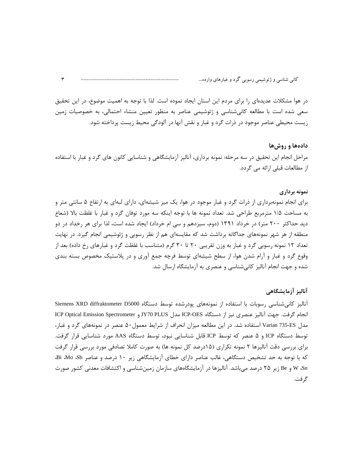در هوا مشكلات عديدهاى را براى مردم اين استان ايجاد نموده است. لذا با توجه به اهميت موضوع، در اين تحقيق سعی شده است با مطالعه کانیشناسی و ژئوشیمی عناصر به منظور تعیین منشاء احتمالی، به خصوصیات زمین زیست محیطی عناصر موجود در ذرات گرد و غبار و نقش آنها در آلودگی محیط زیست پرداخته شود.

#### **دادهها و روشها**

مراحل انجام این تحقیق در سه مرحله: نمونه برداری، آنالیز آزمایشگاهی و شناسایی کانون های گرد و غبار با استفاده از مطالعات قبلي ارائه مي گردد.

#### **نمونه برداری**

رای انجام نمونهبرداری از ذرات گرد و غبار موجود در هوا، یک میز شیشهای، دارای لبهای به ارتفاع ۵ سانتی متر و ֧֦֧֦֧֦֢֦֧֦֧֦֧֦֧֦֧֦֧֦֧֦֧֦֧֢֦֧֜֜ به مساحت ۱/۵ مترمربع طراحي شد. تعداد نمونه ها با توجه اينكه سه مورد توفان گرد و غبار با غلظت بالا (شعاع دید حداکثر ۲۰۰ متر) در خرداد ۱۳۹۱ (دوم، سیزدهم و سی ام خرداد) ایجاد شده است، لذا برای هر رخداد در دو منطقه از هر شهر نمونههای جداگانه برداشت شد که مقایسهای هم از نظر رسوبی و ژئوشیمی انجام گیرد. در نهایت تعداد ۱۲ نمونه رسوبی گرد و غبار به وزن تقریبی ۲۰ تا ۳۰ گرم (متناسب با غلظت گرد و غبارهای رخ داده) بعد از وقوع گرد و غبار و آرام شدن هوا، از سطح شیشهای توسط فرچه جمع آوری و در پلاستیک مخصوص بسته بندی شده و جهت انجام آنالیز کانیشناسی و عنصری به آزمایشگاه ارسال شد.

#### **آنالیز آزمایشگاهی**

آنالیز کانیشناسی رسوبات با استفاده از نمونههای پودرشده توسط دستگاه Siemens XRD diffraktometer D5000 انجام گرفت. جهت آناليز عنصري نيز از دستگاه ICP-OES مدل JY70 PLUS و ICP Optical Emission Spectrometer مدل Varian 735-ES استفاده شد. در این مطالعه میزان انحراف از شرایط معمول٥٠ عنصر در نمونههای گرد و غبار، توسط دستگاه ICP و ۵ عنصر که توسط ICP قابل شناسایی نبود، توسط دستگاه AAS مورد شناسایی قرار گرفت. رای بررسی دقت آنالیزها ۲ نمونه تکراری (۱۵درصد کل نمونه ها) به صورت کاملا تصادفی مورد بررسی قرار گرفت ֧֦֧֦֧֦֢֦֧֦֧֦֧֦֧֦֧֦֧֦֧֦֧֦֧֢֦֧֜֜ كه با توجه به حد تشخيص دستگاهي، غالب عناصر داراي خطاي آزمايشگاهي زير ١٠ درصد و عناصر Bi Mo &b W ،Sn و Be زير ۲۵ درصد ميباشد. آناليزها در آزمايشگاههاي سازمان زمينشناسي و اكتشافات معدني كشور صورت گرفت.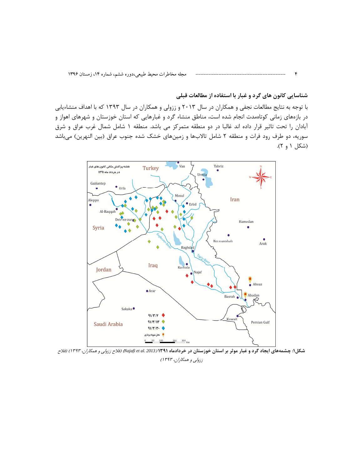شناسایی کانون های گرد و غبار با استفاده از مطالعات قبلی

 $\mathbf{r}$ 

با توجه به نتایج مطالعات نجفی و همکاران در سال ۲۰۱۳ و ززولی و همکاران در سال ۱۳۹۳ که با اهداف منشاءیابی در بازههای زمانی کوتاهمدت انجام شده است، مناطق منشاء گرد و غبارهایی که استان خوزستان و شهرهای اهواز و آبادان را تحت تاثیر قرار داده اند غالبا در دو منطقه متمرکز می باشد. منطقه ۱ شامل شمال غرب عراق و شرق سوریه، دو طرف رود فرات و منطقه ۲ شامل تالابها و زمینهای خشک شده جنوب عراق (بین النهرین) میباشد (شکل ۱ و ۲).



شکل۱: چشمههای ایجاد گرد و غبار موثر بر استان خوزستان در خردادماه ۱۳۹۱ (Najafi et al. 2013) *(فلاح ززولی و همکاران، ۱۳۹۳) (فلاح* ززولي و همكاران، ١٣٩٣)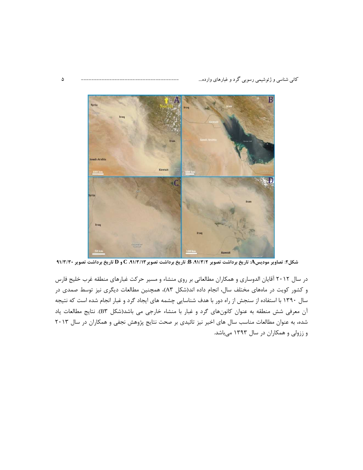

شکل۲: تصاویر مودیسA: تاریخ برداشت تصویر B، ۹۱/۳/۲، تاریخ برداشت تصویر C، ۹۱/۳/۱۳، ج و D تاریخ برداشت تصویر ۹۱/۳/۳۰

در سال ۲۰۱۲ آقایان الدوساری و همکاران مطالعاتی بر روی منشاء و مسیر حرکت غبارهای منطقه غرب خلیج فارس و کشور کویت در ماههای مختلف سال، انجام داده اند(شکل A۳)، همچنین مطالعات دیگری نیز توسط صمدی در سال ۱۳۹۰ با استفاده از سنجش از راه دور با هدف شناسایی چشمه های ایجاد گرد و غبار انجام شده است که نتیجه آن معرفی شش منطقه به عنوان کانونهای گرد و غبار با منشاء خارجی می باشد(شکل B۳). نتایج مطالعات یاد شده، به عنوان مطالعات مناسب سال های اخیر نیز تائیدی بر صحت نتایج پژوهش نجفی و همکاران در سال ۲۰۱۳ و ززولی و همکاران در سال ۱۳۹۳ میباشد.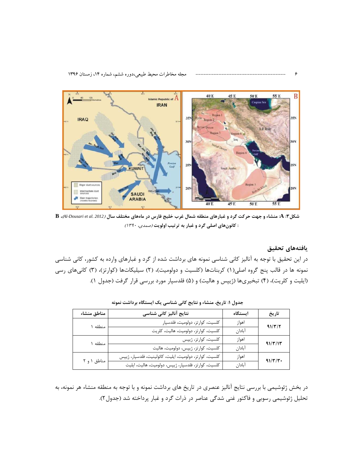

شکل**۴: A:** منشاء و جهت حرکت گرد و غبارهای منطقه شمال غرب خلیج فارس در ماههای مختلف سال (2012 .Al-Dousari et al. 2012)، B : کانونهای اصلی گرد و غبار به ترتیب اولویت *(صمدی، ۱۳۹۰)* 

#### يافتەھاي تحقيق

در این تحقیق با توجه به آنالیز کانی شناسی نمونه های برداشت شده از گرد و غبارهای وارده به کشور، کانی شناسی نمونه ها در قالب پنج گروه اصلی(۱) کربناتها (کلسیت و دولومیت)، (۲) سیلیکاتها (کوارتز)، (۳) کانیهای رسی (ایلیت و کلریت)، (۴) تبخیریها (ژیپس و هالیت) و (۵) فلدسپار مورد بررسی قرار گرفت (جدول ۱).

| مناطق منشاء | نتايج آناليز كانى شناسى                                 | استگاه | تاريخ   |  |
|-------------|---------------------------------------------------------|--------|---------|--|
| منطقه ۱     | كلسيت، كوارتز، دولوميت، فلدسپار                         | اهواز  | 91/T/T  |  |
|             | كلسيت، كوارتز، دولوميت، هاليت، كلريت                    | آنادان |         |  |
| منطقه ۱     | كلسيت، كوارتز، ژيپس                                     | اهواز  | 91/T/11 |  |
|             | كلسيت، كوارتز، ژيپس، دولوميت، هاليت                     | آنادان |         |  |
| مناطق ۱ و ۲ | كلسيت، كوارتز، دولوميت، ايليت، كائولينيت، فلدسپار، ژيپس | اهواز  | 91/T/T  |  |
|             | كلسيت، كوارتز، فلدسپار، ژيپس، دولوميت، هاليت، ايليت     | آبادان |         |  |

جدول ۱: تاریخ، منشاء و نتایج کانی شناسی یک ایستگاه برداشت نمونه

در بخش ژئوشیمی با بررسی نتایج آنالیز عنصری در تاریخ های برداشت نمونه و با توجه به منطقه منشاء هر نمونه، به تحلیل ژئوشیمی رسوبی و فاکتور غنی شدگی عناصر در ذرات گرد و غبار پرداخته شد (جدول۲).

----------------------------------- 6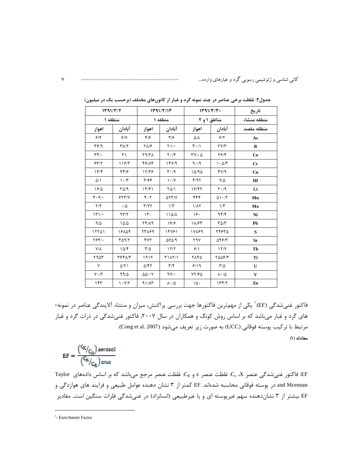| 1791/T/T<br>منطقه ۱         |                                 | 1191/T/11<br>منطقه ۱            |                                 | 1491/T/T<br>مناطق ۱ و ۲                    |                               | تاريخ<br>منطقه منشاء |  |
|-----------------------------|---------------------------------|---------------------------------|---------------------------------|--------------------------------------------|-------------------------------|----------------------|--|
|                             |                                 |                                 |                                 |                                            |                               |                      |  |
| 5/5                         | 9/19                            | ۴۱۶                             | $\mathbf{y}$                    | ۵/۸                                        | 5/7                           | As                   |  |
| ۳۶۱۹                        | $\mathbf{Y}\Lambda/\mathbf{Y}$  | ۲۸/۶                            | $\Upsilon$ )/ .                 | $\mathbf{r} \cdot / \mathbf{v}$            | $\Upsilon V/\Upsilon$         | B                    |  |
| $\mathbf{r}$ .              | $\uparrow$                      | $Y \mathcal{A}/Y \Lambda$       | $\mathbf{Y} \cdot \mathbf{X}$   | $\mathbf{Y} \mathbf{V} / \cdot \mathbf{A}$ | Y5/Y                          | Co                   |  |
| 557/5                       | 1197                            | 48/14                           | 15Y/9                           | 9.49                                       | $1 - \Delta/T$                | Cr                   |  |
| 15/                         | ۳۴/۶                            | 17/45                           | $\mathbf{r} \cdot \mathbf{r}$   | 10/90                                      | f(Y)                          | Cu                   |  |
| $\Delta/\Lambda$            | $\mathcal{N} \cdot \mathcal{N}$ | ۳۱۶۶                            | $\mathcal{N} \cdot \mathcal{N}$ | F/97                                       | 9/2                           | Hf                   |  |
| 1810                        | $Y\Delta$ /9                    | 17/F1                           | $Y\Delta/1$                     | 18/45                                      | $\mathbf{Y} \cdot \mathbf{A}$ | Li                   |  |
| $F \cdot \mathcal{A}/\cdot$ | 5577/                           | $\mathfrak{r}\cdot\mathfrak{r}$ | $\Delta Y Y/Y$                  | ۴۴۴                                        | $01 - 17$                     | Mn                   |  |
| $\mathbf{Y}/\mathbf{Y}$     | $\cdot/\Delta$                  | Y/YY                            | $1/\tau$                        | $1/\lambda$                                | $1/\tau$                      | Mo                   |  |
| 151/                        | 97/7                            | $\mathcal{N}$ .                 | 114/1                           | ۱۶۰                                        | 95/                           | Ni                   |  |
| $9/\Delta$                  | $\Delta/\Delta$                 | 14/17                           | 1818                            | ۱۸/۶۴                                      | $T\Delta/T$                   | Pb                   |  |
| 15501                       | 18104                           | 77189                           | 14781                           | 18889                                      | ٢۴۶٣٥                         | S                    |  |
| $Y5f$ .                     | $F\Delta$ 9/٢                   | $\tau$                          | 08019                           | ۲۹۷                                        | 548/٣                         | Sr                   |  |
| $Y/\lambda$                 | 10/F                            | $\mathsf{r}/\mathsf{a}$         | 17/7                            | 9/1                                        | $\frac{17}{V}$                | Th                   |  |
| ۳۹۵۳                        | 36415                           | 1911                            | $T1\Lambda 7/1$                 | ٢٨۴۵                                       | 5008/5                        | Ti                   |  |
| $\mathsf{v}$                | $\Delta$ /٢١                    | $\Delta$ /۴۲                    | $\mathbf{r}/\mathbf{r}$         | 9/19                                       | $\mathsf{r}/\mathsf{a}$       | U                    |  |
| $V \cdot / \tau$            | 99/2                            | $\Delta \Delta / \cdot V$       | $9V/\cdot$                      | YY/FQ                                      | $\lambda \cdot / \Delta$      | V                    |  |
| ۱۴۳                         | 1.97                            | $91/\lambda$ ۳                  | $\lambda \cdot / \Delta$        | ١۵٠                                        | 177/7                         | Zn                   |  |

جدول۲: غلظت برخی عناصر در چند نمونه گرد و غبار از کانونهای مختلف (برحسب یک در میلیون)

فاکتور غنیشدگی (EF)` یکی از مهمترین فاکتورها جهت بررسی پراکنش، میزان و منشاء آلایندگی عناصر در نمونه-های گرد و غبار میباشد که بر اساس روش کونگ و همکاران در سال ۲۰۰۷، فاکتور غنیشدگی در ذرات گرد و غبار مرتبط با تركيب يوسته فوقاني (UCC) به صورت زير تعريف مي شود (Cong et al. 2007). معادله (١)

$$
EF = \frac{\binom{C_X}{C_R} \text{aerosol}}{\binom{C_X}{C_R} \text{crus}}
$$

EF: فاكتور غني شدگي عنصر Cx، X: غلظت عنصر x و CR: غلظت عنصر مرجع مي باشد كه بر اساس دادههاي Taylor and Mcennan در پوسته فوقانی محاسبه شدهاند. EF کمتر از ۳ نشان دهنده عوامل طبیعی و فرایند های هوازدگی و EF بیشتر از ۳ نشاندهنده سهم غیرپوسته ای و یا غیرطبیعی (انسانزاد) در غنیشدگی فلزات سنگین است. مقادیر

 $<sup>1</sup>$ - Enrichment Factor</sup>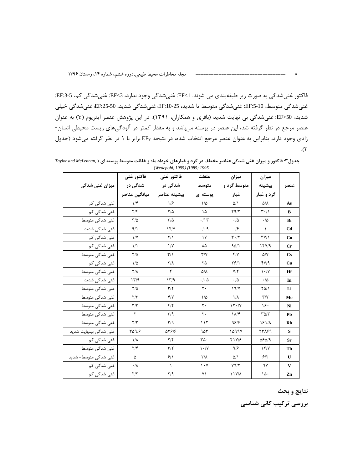فاكتور غني شدگي به صورت زير طبقهبندي مي شوند. EF<1: غني شدگي وجود ندارد، EF<3: غني شدگي كم، 5-EF:3: غني شدگي متوسط، EF:5-10: غني شدگي متوسط تا شديد، EF:10-25 غني شدگي شديد، EF:25-50 غني شدگي خيلي شدید، 50<EF: غنیشدگی بی نهایت شدید (باقری و همکاران، ۱۳۹۱). در این پژوهش عنصر ایتریوم (Y) به عنوان عنصر مرجع در نظر گرفته شد، این عنصر در پوسته میباشد و به مقدار کمتر در آلودگیهای زیست محیطی انسان-زادی وجود دارد، بنابراین به عنوان عنصر مرجع انتخاب شده، در نتیجه EF برابر با ۱ در نظر گرفته میشود (جدول  $\cdot$  (۳

|                       | فاكتور غنى              | فاكتور غنى              | غلظت                            | ميزان                         | ميزان                           |                |
|-----------------------|-------------------------|-------------------------|---------------------------------|-------------------------------|---------------------------------|----------------|
| میزان غنی شدگی        | شدگی در                 | شدگی در                 | متوسط                           | متوسط گرد و                   | بيشينه                          | عنصر           |
|                       | ميانگين عناصر           | بيشينه عناصر            | يوسته اي                        | غبار                          | گرد و غبار                      |                |
| غنی شدگی کم           | 1/f                     | 1/5                     | $1/\Delta$                      | $\Delta/\Lambda$              | $\Delta/\Lambda$                | As             |
| غنی شدگی کم           | $\mathbf{Y}/\mathbf{F}$ | $Y/\Delta$              | ۱۵                              | Y9/Y                          | $\mathbf{r} \cdot / \mathbf{r}$ | B              |
| غنی شدگی متوسط        | $\mathsf{r}/\mathsf{a}$ | $\frac{1}{2}$           | $\cdot/\gamma$                  | $\cdot/\Delta$                | $\cdot/\Delta$                  | Bi             |
| غنی شدگی شدید         | 9/1                     | 15/7                    | .4.9                            | .19                           | $\lambda$                       | C <sub>d</sub> |
| غنی شدگی کم           | $\frac{1}{\sqrt{2}}$    | $\Upsilon/\Upsilon$     | $\gamma$                        | $\mathbf{r} \cdot \mathbf{r}$ | $\Upsilon V/\Upsilon$           | Co             |
| غنی شدگی کم           | $\frac{1}{2}$           | $\frac{1}{V}$           | ٨۵                              | 941                           | 15Y/9                           | Cr             |
| غنی شدگی متوسط        | $\frac{1}{2}$           | $\mathbf{r}/\mathbf{v}$ | $\Upsilon/\Upsilon$             | Y/Y                           | $\Delta/Y$                      | Cs             |
| غنی شدگی کم           | $1/\Delta$              | $Y/\lambda$             | ۲۵                              | 781                           | fY/9                            | Cu             |
| غنی شدگی متوسط        | $\mathsf{Y}/\mathsf{A}$ | ۴                       | $\Delta/\lambda$                | $Y/\mathfrak{F}$              | $\mathcal{N} \cdot \mathcal{N}$ | Hf             |
| غنی شدگی شدید         | 1779                    | 1779                    | $\cdot$ / $\cdot$ $\Delta$      | $\cdot/\Delta$                | $\cdot/\Delta$                  | In             |
| غنی شدگی متوسط        | $\frac{1}{2}$           | $\mathbf{r}/\mathbf{r}$ | $\mathsf{r}\cdot$               | 19/Y                          | $\frac{1}{2}$                   | Li             |
| غنی شدگی متوسط        | $\Upsilon/\Upsilon$     | Y/Y                     | $1/\Delta$                      | $1/\lambda$                   | $\Upsilon/\Upsilon$             | Mo             |
| غنی شدگی متوسط        | $\mathbf{r}/\mathbf{r}$ | $f/\mathfrak{f}$        | $\mathsf{r}$ .                  | 15.7                          | ۱۶۰                             | Ni             |
| غنی شدگی متوسط        | ٢                       | $\mathbf{r}/\mathbf{q}$ | $\mathsf{r}$ .                  | $\lambda/\mathcal{F}$         | $\Gamma \Delta/\Gamma$          | Pb             |
| غنی شدگی متوسط        | $\Upsilon/\Upsilon$     | $\mathbf{r}/\mathbf{q}$ | 115                             | 9818                          | 1811                            | Rb             |
| غنی شدگی بینهایت شدید | ۳۵۹/۶                   | 91876                   | ۹۵۳                             | ۱۵۹۹۷                         | 77189                           | S              |
| غنی شدگی کم           | $1/\lambda$             | $\mathbf{Y}/\mathbf{F}$ | $\mathbf{r}\mathbf{r}\cdot$     | 417/8                         | $\Delta$ ۶ $\Delta$ /۹          | Sr             |
| غنی شدگی متوسط        | $\mathbf{Y}/\mathbf{F}$ | $\mathbf{r}/\mathbf{r}$ | $\mathcal{N} \cdot \mathcal{N}$ | 9/5                           | 15/7                            | Th             |
| غنی شدگی متوسط- شدید  | ۵                       | 9/1                     | $Y/\lambda$                     | $\Delta/\Lambda$              | 5/7                             | U              |
| غنی شدگی کم           | $\cdot/\lambda$         | ١                       | $\mathcal{N}$                   | Y9/Y                          | ۹۷                              | $\mathbf{V}$   |
| غنی شدگی کم           | Y/Y                     | Y/9                     | ۷١                              | 11Y/A                         | ۱۵۰                             | Zn             |

جدول ۳: فاکتور و میزان غنی شدگی عناصر مختلف در گرد و غبارهای خرداد ماه و غلظت متوسط پوسته ای ( .Taylor and McLennan (Wedepohl, 1995) (1985; 1995

نتايج و بحث

بررسی ترکیب کانی شناسی

 $\lambda$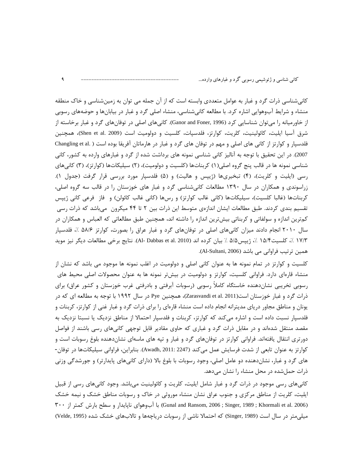کانیشناسی ذرات گرد و غبار به عوامل متعددی وابسته است که از آن جمله می توان به زمینشناسی و خاک منطقه منشاء و شرایط آبوهوایی اشاره کرد. با مطالعه کانیشناسی، منشاء اصلی گرد و غبار در بیابانها و حوضههای رسوبی از خاورمیانه را میتوان شناسایی کرد (Ganor and Foner, 1996). کانیهای اصلی در توفانهای گرد و غبار برخاسته از شرق آسيا ايليت، كائولينيت، كلريت، كوارتز، فلدسپات، كلسيت و دولوميت است (Shen et al. 2009)، همچنين فلدسپار و کوارتز از کانی های اصلی و مهم در توفان های گرد و غبار در هارماتان آفریقا بوده است ( .Changling et al 2007). در این تحقیق با توجه به آنالیز کانی شناسی نمونه های برداشت شده از گرد و غبارهای وارده به کشور، کانی شناسی نمونه ها در قالب پنج گروه اصلی(۱) کربناتها (کلسیت و دولومیت)، (۲) سیلیکاتها (کوارتز)، (۳) کانیهای رسی (ایلیت و کلریت)، (۴) تبخیریها (ژیپس و هالیت) و (۵) فلدسپار مورد بررسی قرار گرفت (جدول ۱). زراسوندی و همکاران در سال ۱۳۹۰ مطالعات کانیشناسی گرد و غبار های خوزستان را در قالب سه گروه اصلی، كربناتها (غالبا كلسيت)، سيليكاتها (كاني غالب كوارتز) و رسها (كاني غالب كائولن) و فاز فرعي كاني ژيپس تقسیم بندی کردند. طبق مطالعات ایشان اندازەی متوسط این ذرات بین ۲ تا ۴۴ میکرون میباشد که ذرات رسی كمترين اندازه و سولفاتي و كربناتي بيشترين اندازه را داشته اند، همچنين طبق مطالعاتي كه العباس و همكاران در سال ۲۰۱۰ انجام دادند میزان کانیهای اصلی در توفانهای گرد و غبار عراق را بصورت، کوارتز ۵۸/۶ ٪، فلدسپار ١٧/٣ ٪، كلسيت١٥/٤ ٪، ژيپس۵/۵ ٪ بيان كرده اند (Al- Dabbas et al. 2010). نتايج برخي مطالعات ديگر نيز مويد همين ترتيب فراواني مي باشد (Al-Sultani, 2006).

کلسیت و کوارتز در تمام نمونه ها به عنوان کانی اصلی و دولومیت در اغلب نمونه ها موجود می باشد که نشان از منشاء قارهای دارد. فراوانی کلسیت، کوارتز و دولومیت در بیشتر نمونه ها به عنوان محصولات اصلی محیط های رسوبی تخریبی نشاندهنده خاستگاه کاملاً رسوبی (رسوبات آبرفتی و بادرفتی غرب خوزستان و کشور عراق) برای ذرات گرد و غبار خوزستان است(Zarasvandi et al. 2011)، همچنین Pye در سال ۱۹۹۲ با توجه به مطالعه ای که در یونان و مناطق مجاور دریای مدیترانه انجام داده است منشاء قارهای را برای ذرات گرد و غبار غنی از کوارتز، کربنات و فلدسپار نسبت داده است و اشاره میکند که کوارتز، کربنات و فلدسپار احتمالا از مناطق نزدیک یا نسبتا نزدیک به مقصد منتقل شدهاند و در مقابل ذرات گرد و غباری که حاوی مقادیر قابل توجهی کانیهای رسی باشند از فواصل دور تری انتقال یافتهاند. فراوانی کوارتز در توفانهای گرد و غبار و تپه های ماسهای نشاندهنده بلوغ رسوبات است و كوارتز به عنوان تابعي از شدت فرسايش عمل مي *كن*د (2247 :Awadh, 2011). بنابراين، فراواني سيليكاتها در توفان-های گرد و غبار، نشاندهنده دو عامل اصلی، وجود رسوبات با بلوغ بالا (دارای کانیهای پایدارتر) و جورشدگی وزنی ذرات حمل شده در محل منشاء را نشان میدهد.

کانیهای رسی موجود در ذرات گرد و غبار شامل ایلیت، کلریت و کائولینیت میباشد. وجود کانیهای رسی از قبیل ایلیت، کلریت از مناطق مرکزی و جنوب عراق نشان منشاء موروثی در خاک و رسوبات مناطق خشک و نیمه خشک Gunal and Ransom, 2006 ; Singer, 1989 ; Khormali et al. 2006) با آبوهوای ناپایدار و سطح بارش کمتر از ۳۰۰ میلی متر در سال است (Singer, 1989) که احتمالا ناشی از رسوبات دریاچهها و تالابهای خشک شده (Velde, 1995)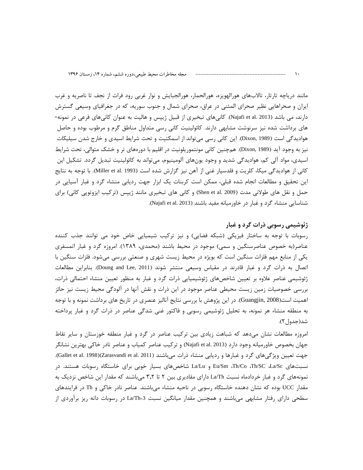مانند دریاچه تارتار، تالابهای هورالهویزه، هورالحمار، هورالجبایش و نوار غربی رود فرات از نجف تا ناصریه و غرب ایران و صحراهایی نظیر صحرای المثنی در عراق، صحرای شمال و جنوب سوریه، که در جغرافیای وسیعی گسترش دارند، می باشد (Najafi et al. 2013). کانیهای تبخیری از قبیل ژیپس و هالیت به عنوان کانیهای فرعی در نمونه-های برداشت شده نیز سرنوشت مشابهی دارند. کائولینیت کانی رسی متداول مناطق گرم و مرطوب بوده و حاصل هوادیدگی است (Dixon, 1989). این کانی رسی میتواند از اسمکتیت و تحت شرایط اسیدی و خارج شدن سیلیکات نیز به وجود آید (Dixon, 1989). همچنین کانی مونتموریلونیت در اقلیم با دورههای تر و خشک متوالی، تحت شرایط اسیدی، مواد آلی کم، هوادیدگی شدید و وجود یونهای آلومینیوم، میتواند به کائولینیت تبدیل گردد. تشکیل این کانی از هوادیدگی میکا، کلریت و فلدسپار غنی از آهن نیز گزارش شده است (Miller et al. 1993). با توجه به نتایج این تحقیق و مطالعات انجام شده قبلی، ممکن است کربنات یک ابزار جهت ردیابی منشاء گرد و غبار آسیایی در حمل و نقل های طولانی مدت (Shen et al. 2009) و کانی های تبخیری مانند ژیپس (ترکیب ایزوتوپی کانی) برای شناسایی منشاء گرد و غبار در خاورمیانه مفید باشند (Najafi et al. 2013).

#### ژئوشیمی رسوبی ذرات گرد و غبار

رسوبات با توجه به ساختار فیزیکی (شبکه فضایی) و نیز ترکیب شیمیایی خاص خود می توانند جذب کننده عناصر(به خصوص عناصرسنگین و سمی) موجود در محیط باشند (محمدی، ۱۳۸۹). امروزه گرد و غبار اتمسفری یکی از منابع مهم فلزات سنگین است که بویژه در محیط زیست شهری و صنعتی بررسی میشود. فلزات سنگین با اتصال به ذرات گرد و غبار قادرند در مقیاس وسیعی منتشر شوند (Doung and Lee, 2011). بنابراین مطالعات ژئوشیمی عناصر علاوه بر تعیین شاخصهای ژئوشیمیایی ذرات گرد و غبار به منظور تعیین منشاء احتمالی ذرات، بررسی خصوصیات زمین زیست محیطی عناصر موجود در این ذرات و نقش انها در الودگی محیط زیست نیز حائز اهمیت است(Guangjin, 2008). در این پژوهش با بررسی نتایج آنالیز عنصری در تاریخ های برداشت نمونه و با توجه به منطقه منشاء هر نمونه، به تحلیل ژئوشیمی رسوبی و فاکتور غنی شدگی عناصر در ذرات گرد و غبار پرداخته شد(جدول ۲).

امروزه مطالعات نشان میدهد که شباهت زیادی بین ترکیب عناصر در گرد و غبار منطقه خوزستان و سایر نقاط جهان بخصوص خاورميانه وجود دارد (Najafi et al. 2013) و تركيب عناصر كمياب و عناصر نادر خاكي بهترين نشانگر جهت تعیین ویژگیهای گرد و غبارها و ردیابی منشاء ذرات میباشند (Gallet et al. 1998)(Zarasvandi et al. 2011). نسبتهای Eu/Sm ،Th/Co ،Th/SC ،La/Sc و La/Lu شاخصهای بسیار خوبی برای خاستگاه رسوبات هستند. در نمونههای گرد و غبار خردادماه نسبت La/Th دارای مقادیری بین ۲ تا ۳٫۲ میباشند که مقدار این شاخص نزدیک به مقدار UCC بوده که نشان دهنده خاستگاه رسوبی در ناحیه منشاء میباشند. عناصر نادر خاکی و Th در فرایندهای سطحی دارای رفتار مشابهی می باشند و همچنین مقدار میانگین نسبت La/Th=3 در رسوبات دانه ریز برآوردی از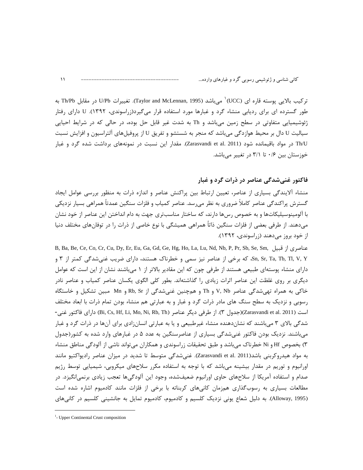تركيب بالايي پوسته قاره اي (UCC) ٰ ميباشد (Taylor and McLennan, 1995). تغييرات U/Pb در مقابل Th/Pb به طور گسترده ای برای ردیابی منشاء گرد و غبارها مورد استفاده قرار میگیرد(زراسوندی، ۱۳۹۲). U دارای رفتار ژئوشیمیایی متفاوتی در سطح زمین میباشد و Th به شدت غیر قابل حل بوده، در حالی که در شرایط احیایی سیالیت U دال بر محیط هوازدگی میباشد که منجر به شستشو و تفریق U از پروفیلهای آلتراسیون و افزایش نسبت Th/U در مواد باقیمانده شود (Zarasvandi et al. 2011). مقدار این نسبت در نمونههای برداشت شده گرد و غبار خوزستان بین ۰/۶ تا ۳/۱ در تغییر میباشد.

### فاکتور غنے شدگی عناصر در ذرات گرد و غبار

منشاء آلایندگی بسیاری از عناصر، تعیین ارتباط بین پراکنش عناصر و اندازه ذرات به منظور بررسی عوامل ایجاد گسترش پراکندگی عناصر کاملاً ضروری به نظر میرسد. عناصر کمیاب و فلزات سنگین عمدتاً همراهی بسیار نزدیکی با آلومینوسیلیکاتها و به خصوص رس&ا دارند، که ساختار مناسبتری جهت به دام انداختن این عناصر از خود نشان می،دهند. از طرفی بعضی از فلزات سنگین ذاتاً همراهی همیشگی با نوع خاصی از ذرات را در توفانهای مختلف دنیا از خود بروز می دهند (زراسوندی، ۱۳۹۲).

B, Ba, Be, Ce, Co, Cr, Cu, Dy, Er, Eu, Ga, Gd, Ge, Hg, Ho, La, Lu, Nd, Nb, P, Pr, Sb, Se, Sm, فناصري از قبيل , Sn, Sr, Ta, Tb, Tl, V, Y، که برخی از عناصر نیز سمی و خطرناک هستند، دارای ضریب غنیشدگی کمتر از ۳ و دارای منشاء پوستهای طبیعی هستند از طرفی چون که این مقادیر بالاتر از ۱ میباشند نشان از این است که عوامل دیگری بر روی غلظت این عناصر اثرات زیادی را گذاشتهاند. بطور کلی الگوی یکسان عناصر کمیاب و عناصر نادر خاکی به همراه تهی شدگی عناصر V, Nb و Th و همچنین غنی شدگی از Rb, Sr و Mn مبین تشکیل و خاستگاه رسوبی و نزدیک به سطح سنگ های مادر ذرات گرد و غبار و به عبارتی هم منشاء بودن تمام ذرات با ابعاد مختلف است (Zarasvandi et al. 2011)(جدول ٣). از طرفي ديگر عناصر (Bi, Cs, Hf, Li, Mo, Ni, Rb, Th) داراي فاكتور غني-شدگی بالای ۳ می باشند که نشاندهنده منشاء غیرطبیعی و یا به عبارتی انسان;ادی برای آنها در ذرات گرد و غبار می باشند. نزدیک بودن فاکتور غنی شدگی بسیاری از عناصرسنگین به عدد ۵ در غبارهای وارد شده به کشور(جدول ۳) بخصوص Hf و Ni خطرناک میباشد و طبق تحقیقات زراسوندی و همکاران میتواند ناشی از آلودگی مناطق منشاء به مواد هیدروکربنی باشد(Zarasvandi et al. 2011). غنیشدگی متوسط تا شدید در میزان عناصر رادیواکتیو مانند اورانیوم و توریم در مقدار بیشینه میباشد که با توجه به استفاده مکرر سلاحهای میکروبی، شیمیایی توسط رژیم صدام و استفاده آمریکا از سلاحهای حاوی اورانیوم ضعیفشده، وجود این آلودگیها تعجب زیادی برنمی|نگیزد. در مطالعات بسیاری به رسوبگذاری همزمان کانیهای کربناته با برخی از فلزات مانند کادمیوم اشاره شده است (Alloway, 1995). به دلیل شعاع یونی نزدیک کلسیم و کادمیوم، کادمیوم تمایل به جانشینی کلسیم در کانی های

 $\mathcal{N}$ 

<sup>&</sup>lt;sup>1</sup>- Upper Continental Crust composition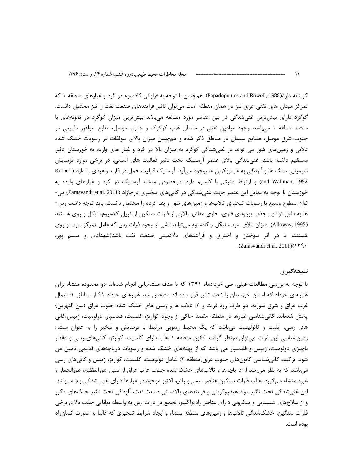کربناته دارد(Papadopoulos and Rowell, 1988). همچنین با توجه به فراوانی کادمیوم در گرد و غبارهای منطقه ۱ که تمرکز میدان های نفتی عراق نیز در همان منطقه است می¤وان تاثیر فرایندهای صنعت نفت را نیز محتمل دانست. گوگرد دارای بیشترین غنیشدگی در بین عناصر مورد مطالعه میباشد بیشترین میزان گوگرد در نمونههای با منشاء منطقه ۱ میباشد. وجود میادین نفتی در مناطق غرب کرکوک و جنوب موصل، منابع سولفور طبیعی در جنوب شرق موصل، صنایع سیمان در مناطق ذکر شده و همچنین میزان بالای سولفات در رسوبات خشک شده تالابی و زمینهای شور می تواند در غنیشدگی گوگرد به میزان بالا در گرد و غبار های وارده به خوزستان تاثیر مستقیم داشته باشد. غنیشدگی بالای عنصر آرسنیک تحت تاثیر فعالیت های انسانی، در برخی موارد فرسایش شیمیایی سنگ ها و آلودگی به هیدروکربن ها بوجود میآید. آرسنیک قابلیت حمل در فاز سولفیدی را دارد ( Kerner and Wallman, 1992) و ارتباط مثبتی با کلسیم دارد. درخصوص منشاء آرسنیک در گرد و غبارهای وارده به خوزستان با توجه به تمایل این عنصر جهت غنی شدگی در کانیهای تبخیری درجازاد (Zarasvandi et al. 2011) می-توان سطوح وسیع با رسوبات تبخیری تالابها و زمینهای شور و پف کرده را محتمل دانست. باید توجه داشت رس-ها به دلیل توانایی جذب یونهای فلزی، حاوی مقادیر بالایی از فلزات سنگین از قبیل کادمیوم، نیکل و روی هستند (Alloway, 1995). میزان بالای سرب، نیکل و کادمیوم میتواند ناشی از وجود ذرات رس که عامل تمرکز سرب و روی هستند، یا در اثر سوختن و احتراق و فرایندهای بالادستی صنعت نفت باشد(شهدادی و مسلم پور، .(Zarasvandi et al.  $2011$ )( $\Upsilon$ ۹ ·

#### نتيجەگيرى

با توجه به بررسی مطالعات قبلی، طی خردادماه ۱۳۹۱ که با هدف منشاءیابی انجام شدهاند دو محدوده منشاء برای غبارهای خرداد که استان خوزستان را تحت تاثیر قرار داده اند مشخص شد. غبارهای خرداد ۹۱ از مناطق ۱: شمال غرب عراق و شرق سوریه، دو طرف رود فرات و ۲: تالاب ها و زمین های خشک شده جنوب عراق (بین النهرین) پخش شدهاند. کانیشناسی غبارها در منطقه مقصد حاکی از وجود کوارتز، کلسیت، فلدسپار، دولومیت، ژیپس،کانی های رسی، ایلیت و کائولینیت میباشد که یک محیط رسوبی مرتبط با فرسایش و تبخیر را به عنوان منشاء زمینشناسی این ذرات میتوان درنظر گرفت. کانون منطقه ۱ غالبا دارای کلسیت، کوارتز، کانیهای رسی و مقدار ناچیزی دولومیت، ژیپس و فلدسپار می باشد که از پهنههای خشک شده و رسوبات دریاچههای قدیمی تامین می شود. ترکیب کانیشناسی کانونهای جنوب عراق(منطقه ۲) شامل دولومیت، کلسیت، کوارتز، ژیپس و کانیهای رسی می باشد که به نظر می رسد از دریاچهها و تالابهای خشک شده جنوب غرب عراق از قبیل هورالعظیم، هورالحمار و غیره منشاء میگیرد. غالب فلزات سنگین عناصر سمی و رادیو اکتیو موجود در غبارها دارای غنی شدگی بالا میباشد. این غنیشدگی تحت تاثیر مواد هیدروکربنی و فرایندهای بالادستی صنعت نفت، آلودگی تحت تاثیر جنگهای مکرر و از سلاحهای شیمیایی و میکروبی دارای عناصر رادیواکتیو، تجمع در ذرات رس به واسطه توانایی جذب بالای برخی فلزات سنگین، خشکشدگی تالابها و زمینهای منطقه منشاء و ایجاد شرایط تبخیری که غالبا به صورت انسانزاد بوده است.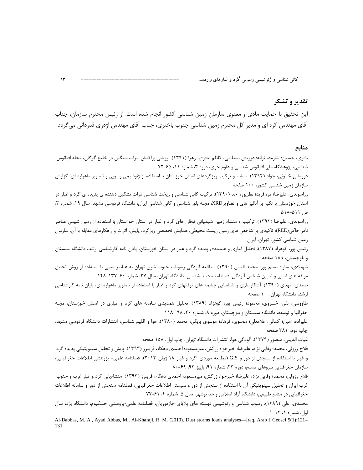### تقدير و تشكر

این تحقیق با حمایت مادی و معنوی سازمان زمین شناسی کشور انجام شده است. از رئیس محترم سازمان، جناب آقای مهندس کره ای و مدیر کل محترم زمین شناسی جنوب باختری، جناب آقای مهندس اژدری قدردانی می گردد.

#### منابع

باقري، حسين؛ شارمد، ترانه؛ درويش بسطامي، كاظم؛ باقري، زهرا (١٣٩١). ارزيابي پراكنش فلزات سنگين در خليج گرگان، مجله اقيانوس شناسی، پژوهشگاه ملی اقیانوس شناسی و علوم جوی، دوره ۳، شماره ۱۱، ۶۵-۷۲

درویشی خاتونی، جواد (۱۳۹۲). منشاء و ترکیب ریزگردهای استان خوزستان با استفاده از ژئوشیمی رسوبی و تصاویر ماهواره ای، گزارش سازمان زمین شناسی کشور، ۱۰۰ صفحه

زراسوندی، علیرضا؛ مر، فرید؛ نظرپور، احد (۱۳۹۰). ترکیب کانی شناسی و ریخت شناسی ذرات تشکیل دهنده ی پدپده ی گرد و غبار در استان خوزستان با تکیه بر آنالیز های و تصاویر XRD، مجله بلور شناسی و کانی شناسی ایران، دانشگاه فردوسی مشهد، سال ۱۹، شماره ۳، ص ۵۱۱–۵۱۸

زراسوندی، علیرضا (۱۳۹۲). ترکیب و منشاء زمین شیمیائی توفان های گرد و غبار در استان خوزستان با استفاده از زمین شیمی عناصر نادر خاکی(REE): تاکیدی بر شاخص های زمین زیست محیطی، همایش تخصصی ریزگرد، پایش، اثرات و راهکارهای مقابله با آن. سازمان زمین شناسی کشور، تهران، ایران

, ئیس یور، کوهزاد (۱۳۸۷). تحلیل آماری و همدیدی پدیده گرد و غبار در استان خوزستان، پایان نامه کارشناسی ارشد، دانشگاه سیستان و بلوچستان، ۱۸۹ صفحه

شهدادی، سارا؛ مسلم پور، محمد الیاس (۱۳۹۰). مطالعه آلودگی رسوبات جنوب شرق تهران به عناصر سمی با استفاده از روش تحلیل مولفه های اصلی و تعیین شاخص آلودگی، فصلنامه محیط شناسی، دانشگاه تهران، سال ۳۷، شماره ۶۰، ۱۳۷–۱۴۸

صمدی، مهدی (۱۳۹۰). آشکارسازی و شناسایی چشمه های توفانهای گرد و غبار با استفاده از تصاویر ماهواره ای، پایان نامه کارشناسی ارشد، دانشگاه تهران. ۱۰۰ صفحه

طاووسی، تقی؛ خسروی، محمود؛ رئیس پور، کوهزاد (۱۳۸۹). تحلیل همدیدی سامانه های گرد و غباری در استان خوزستان، مجله جغرافیا و توسعه، دانشگاه سیستان و بلوچستان، دوره ۸، شماره ۲۰، ۹۸- ۱۱۸

علیزاده، امین؛ کمالی، غلامعلی؛ موسوی، فرهاد؛ موسوی بایگی، محمد (۱۳۸۰). هوا و اقلیم شناسی، انتشارات دانشگاه فردوسی مشهد، چاپ دوم، ۳۸۱ صفحه

غياث الديني، منصور (١٣٧٩). آلودگي هوا، انتشارات دانشگاه تهران، چاپ اول، ١۵٨ صفحه

فلاح ززولي، محمد؛ وفايي نژاد، عليرضا؛ خيرخواه زر كش، ميرمسعود؛ احمدي دهكاء، فريبرز (١٣٩٣). پايش و تحليل سينوپتيكي پديده گرد و غبار با استفاده از سنجش از دور و GIS (مطالعه موردي :گرد و غبار ۱۸ ژوئن ۲۰۱۲)، فصلنامه علمي- پژوهشي اطلاعات جغرافيايي، سازمان جغرافیایی نیروهای مسلح، دوره ٢٣، شماره ٩١، پاییز ٩٣، ۶۹-٨٠

فلاح ززولی، محمد؛ وفایی نژاد، علیرضا؛ خیرخواه زرکش، میرمسعود؛ احمدی دهکاء، فریبرز (۱۳۹۳). منشاءیابی گرد و غبار غرب و جنوب غرب ايران و تحليل سينوپتيكي آن با استفاده از سنجش از دور و سيستم اطلاعات جغرافيايي، فصلنامه سنجش از دور و سامانه اطلاعات جغرافيايي در منابع طبيعي، دانشگاه آزاد اسلامي واحد بوشهر، سال ۵، شماره ۴، ۶۱-۷۷

محمدی، علی (۱۳۸۹). رسوب شناسی و ژئوشیمی نهشته های پلایای جازموریان، فصلنامه علمی-پژوهشی خشکبوم، دانشگاه یزد، سال اول، شماره ۱، ۱۲-۱

Al-Dabbas, M. A., Ayad Abbas, M., Al-Khafaji, R. M. (2010). Dust storms loads analyses—Iraq. Arab J Geosci 5(1):121-131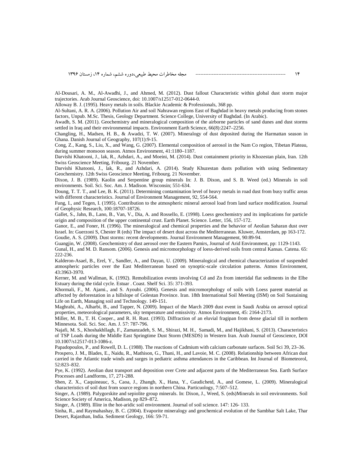Al-Dousari, A. M., Al-Awadhi, J., and Ahmed, M. (2012). Dust fallout Characteristic within global dust storm major trajectories. Arab Journal Geoscience, doi: 10.1007/s12517-012-0644-0.

Alloway B. J. (1995). Heavy metals in soils. Blackie Academic & Professionals, 368 pp.

Al-Sultani, A. R. A. (2006). Pollution Air and soil Nahrawan regions East of Baghdad in heavy metals producing from stones factors, Unpub. M.Sc. Thesis, Geology Department. Science College, University of Baghdad. (In Arabic).

Awadh, S. M. (2011). Geochemistry and mineralogical composition of the airborne particles of sand dunes and dust storms settled in Iraq and their environmental impacts. Environment Earth Science, 66(8):2247–2256.

Changling, H., Madsen, H. B., & Awadzi, T. W. (2007). Mineralogy of dust deposited during the Harmattan season in Ghana. Danish Journal of Geography, 107(1):9-15.

Cong, Z., Kang, S., Liu, X., and Wang, G. (2007). Elemental composition of aerosol in the Nam Co region, Tibetan Plateau, during summer monsoon season. Atmos Environment, 41:1180–1187.

Darvishi Khatooni, J., lak, R., Azhdari, A., and Moeini, M. (2014). Dust containment priority in Khozestan plain, Iran. 12th Swiss Geoscience Meeting, Fribourg. 21 November.

Darvishi Khatooni, J., lak, R., and Azhdari, A. (2014). Study Khuzestan dusts pollution with using Sedimentary Geochemistry. 12th Swiss Geoscience Meeting, Fribourg. 21 November.

Dixon, J. B. (1989). Kaolin and Serpentine group minerals In: J. B. Dixon, and S. B. Weed (ed.) Minerals in soil environments. Soil. Sci. Soc. Am. J. Madison. Wisconsin; 551-634.

Doung, T. T. T., and Lee, B. K. (2011). Determining contamination level of heavy metals in road dust from busy traffic areas with different characteristics. Journal of Environment Management, 92, 554-564.

Fung, I., and Tegen, I. (1995). Contribution to the atmospheric mineral aerosol load from land surface modification. Journal of Geophysic Research, 100:18707-18726.

Gallet, S., Jahn, B., Lano, B., Van, V., Dia, A. and Rossello, E. (1998). Loess geochemistry and its implications for particle origin and composition of the upper continental crust. Earth Planet. Science. Letter, 156, 157-172.

Ganor, E., and Foner, H. (1996). The mineralogical and chemical properties and the behavior of Aeolian Saharan dust over Israel. In: Guerzoni S, Chester R (eds) The impact of desert dust across the Mediterranean. Kluwer, Amsterdam, pp 163-172. Goudie, A. S. (2009). Dust storms: recent developments. Journal Environment Management, 90:89-94.

Guangjin, W. (2008). Geochemistry of dust aerosol over the Eastern Pamirs, Journal of Arid Environment, pp: 1129-1143.

Gunal, H., and M. D. Ransom. (2006). Genesis and micromorphology of loess-derived soils from central Kansas. Catena. 65: 222-236.

Kalderon-Asael, B., Erel, Y., Sandler, A., and Dayan, U. (2009). Mineralogical and chemical characterization of suspended atmospheric particles over the East Mediterranean based on synoptic-scale circulation patterns. Atmos Environment, 43:3963-3970.

Kerner, M. and Wallman, K. (1992). Remobilization events involving Cd and Zn from intertidal flat sediments in the Elbe Estuary during the tidal cycle. Estuar . Coast. Shelf Sci. 35: 371-393.

Khormali, F., M. Ajami., and S. Ayoubi. (2006). Genesis and micromorphology of soils with Loess parent material as affected by deforestation in a hillslope of Golestan Province. Iran. 18th International Soil Meeting (ISM) on Soil Sustaining Life on Earth, Managing soil and Technology. 149-151.

Maghrabi, A., Alharbi, B., and Tapper, N. (2009). Impact of the March 2009 dust event in Saudi Arabia on aerosol optical properties, meteorological parameters, sky temperature and emissivity. Atmos Environment, 45: 2164-2173.

Miller, M. B., T. H. Cooper., and R. H. Rust. (1993). Diffraction of an eluvial fragipan from dense glacial till in northern Minnesota. Soil. Sci. Soc. Am. J. 57: 787-796.

Najafi, M. S., Khoshakhllagh, F., Zamanzadeh, S. M., Shirazi, M. H., Samadi, M., and Hajikhani, S. (2013). Characteristics of TSP Loads during the Middle East Springtime Dust Storm (MESDS) in Western Iran. Arab Journal of Geoscience, DOI 10.1007/s12517-013-1086-z.

Papadopoulos, P., and Rowell, D. L. (1988). The reactions of Cadmium with calcium carbonate surfaces. Soil Sci 39, 23–36.

Prospero, J. M., Blades, E., Naidu, R., Mathison, G., Thani, H., and Lavoie, M. C. (2008). Relationship between African dust carried in the Atlantic trade winds and surges in pediatric asthma attendances in the Caribbean. Int Journal of Biometeorol, 52:823–832.

Pye, K. (1992). Aeolian dust transport and deposition over Crete and adjacent parts of the Mediterranean Sea. Earth Surface Processes and Landforms, 17, 271-288.

Shen, Z. X., Caquineauc, S., Caoa, J., Zhangb, X., Hana, Y., Gaudichetd, A., and Gomese, L. (2009). Mineralogical characteristics of soil dust from source regions in northern China. Particuology, 7:507–512.

Singer, A. (1989). Palygorskite and sepiolite group minerals. In: Dixon, J., Weed, S. (eds)Minerals in soil environments. Soil Science Society of America, Madison, pp 829–872.

Singer, A. (1989). Illite in the hot-aridic soil environment. Journal of soil science. 147: 126- 133.

Sinha, R., and Raymahashay, B. C. (2004). Evaporite mineralogy and geochemical evolution of the Sambhar Salt Lake, Thar Desert, Rajasthan, India. Sediment Geology, 166: 59-71.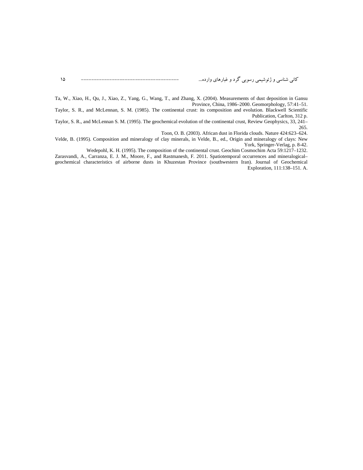15 -------------------------------------- ..." >5? ' 8 <= 

Ta, W., Xiao, H., Qu, J., Xiao, Z., Yang, G., Wang, T., and Zhang, X. (2004). Measurements of dust deposition in Gansu Province, China, 1986–2000. Geomorphology, 57:41–51.

Taylor, S. R., and McLennan, S. M. (1985). The continental crust: its composition and evolution. Blackwell Scientific Publication, Carlton, 312 p.

Taylor, S. R., and McLennan S. M. (1995). The geochemical evolution of the continental crust, Review Geophysics, 33, 241– 265.

Toon, O. B. (2003). African dust in Florida clouds. Nature 424:623–624.

Velde, B. (1995). Composition and mineralogy of clay minerals, in Velde, B., ed., Origin and mineralogy of clays: New York, Springer-Verlag, p. 8-42.

Wedepohl, K. H. (1995). The composition of the continental crust. Geochim Cosmochim Acta 59:1217–1232.

Zarasvandi, A., Carranza, E. J. M., Moore, F., and Rastmanesh, F. 2011. Spatiotemporal occurrences and mineralogical– geochemical characteristics of airborne dusts in Khuzestan Province (southwestern Iran). Journal of Geochemical Exploration, 111:138–151. A.